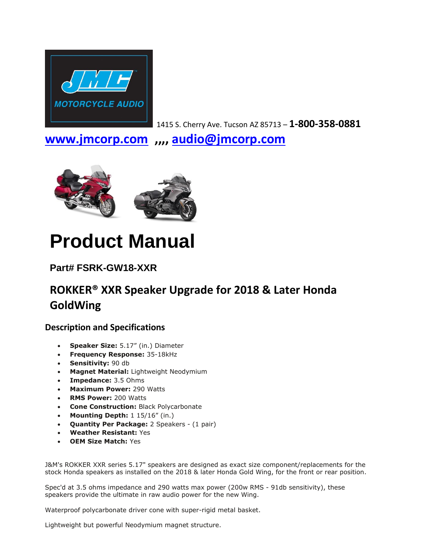

1415 S. Cherry Ave. Tucson AZ 85713 – **1-800-358-0881**

**[www.jmcorp.com](http://www.jmcorp.com/) ,,,, [audio@jmcorp.com](mailto:audio@jmcorp.com)**



# **Product Manual**

## **Part# FSRK-GW18-XXR**

## **ROKKER® XXR Speaker Upgrade for 2018 & Later Honda GoldWing**

### **Description and Specifications**

- **Speaker Size:** 5.17" (in.) Diameter
- **Frequency Response:** 35-18kHz
- **Sensitivity:** 90 db
- **Magnet Material:** Lightweight Neodymium
- **Impedance:** 3.5 Ohms
- **Maximum Power:** 290 Watts
- **RMS Power:** 200 Watts
- **Cone Construction:** Black Polycarbonate
- **Mounting Depth:** 1 15/16" (in.)
- **Quantity Per Package:** 2 Speakers (1 pair)
- **Weather Resistant:** Yes
- **OEM Size Match:** Yes

J&M's ROKKER XXR series 5.17" speakers are designed as exact size component/replacements for the stock Honda speakers as installed on the 2018 & later Honda Gold Wing, for the front or rear position.

Spec'd at 3.5 ohms impedance and 290 watts max power (200w RMS - 91db sensitivity), these speakers provide the ultimate in raw audio power for the new Wing.

Waterproof polycarbonate driver cone with super-rigid metal basket.

Lightweight but powerful Neodymium magnet structure.